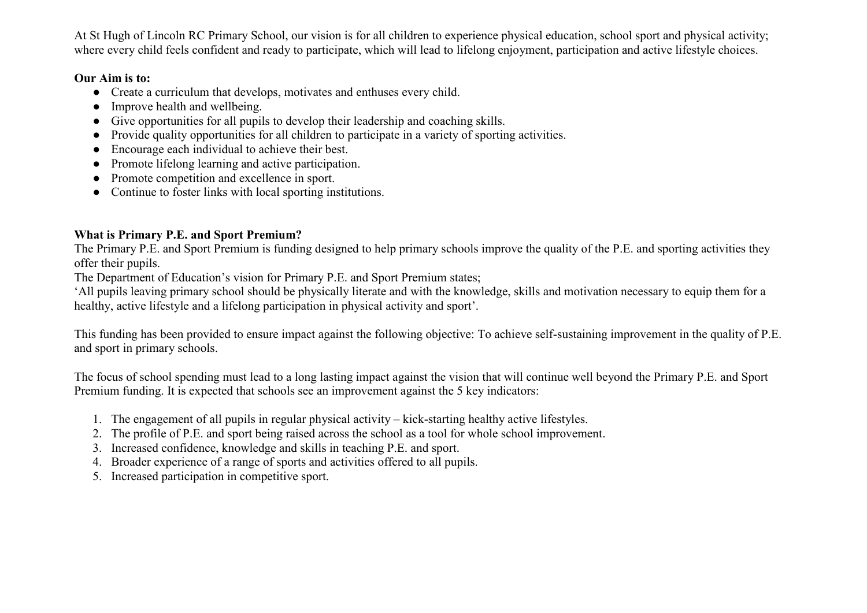At St Hugh of Lincoln RC Primary School, our vision is for all children to experience physical education, school sport and physical activity; where every child feels confident and ready to participate, which will lead to lifelong enjoyment, participation and active lifestyle choices.

### **Our Aim is to:**

- Create a curriculum that develops, motivates and enthuses every child.
- $\bullet$  Improve health and wellbeing.
- Give opportunities for all pupils to develop their leadership and coaching skills.
- Provide quality opportunities for all children to participate in a variety of sporting activities.
- Encourage each individual to achieve their best.
- Promote lifelong learning and active participation.
- Promote competition and excellence in sport.
- Continue to foster links with local sporting institutions.

### **What is Primary P.E. and Sport Premium?**

The Primary P.E. and Sport Premium is funding designed to help primary schools improve the quality of the P.E. and sporting activities they offer their pupils.

The Department of Education's vision for Primary P.E. and Sport Premium states;

'All pupils leaving primary school should be physically literate and with the knowledge, skills and motivation necessary to equip them for a healthy, active lifestyle and a lifelong participation in physical activity and sport'.

This funding has been provided to ensure impact against the following objective: To achieve self-sustaining improvement in the quality of P.E. and sport in primary schools.

The focus of school spending must lead to a long lasting impact against the vision that will continue well beyond the Primary P.E. and Sport Premium funding. It is expected that schools see an improvement against the 5 key indicators:

- 1. The engagement of all pupils in regular physical activity kick-starting healthy active lifestyles.
- 2. The profile of P.E. and sport being raised across the school as a tool for whole school improvement.
- 3. Increased confidence, knowledge and skills in teaching P.E. and sport.
- 4. Broader experience of a range of sports and activities offered to all pupils.
- 5. Increased participation in competitive sport.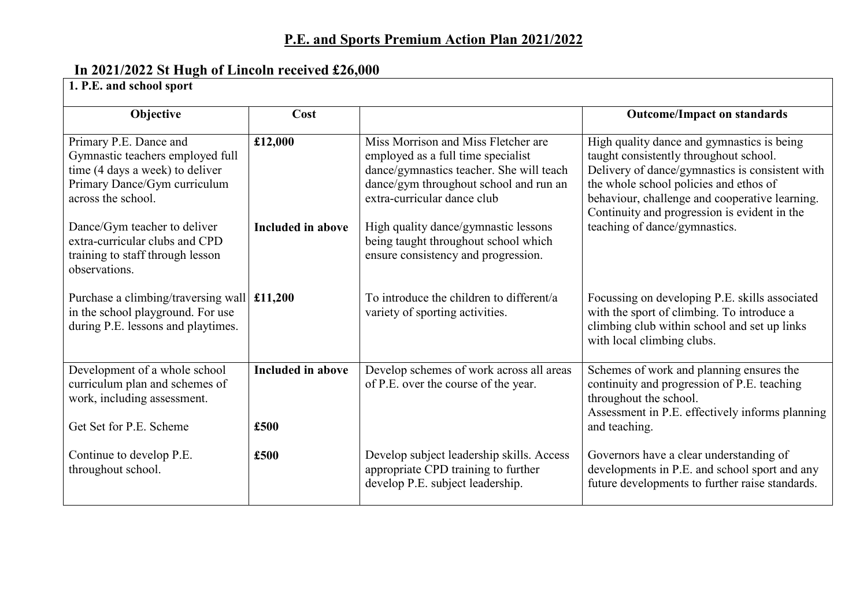# **P.E. and Sports Premium Action Plan 2021/2022**

## **In 2021/2022 St Hugh of Lincoln received £26,000**

#### **1. P.E. and school sport**

| Objective                                                                                                                                           | Cost                             |                                                                                                                                                                                                | <b>Outcome/Impact on standards</b>                                                                                                                                                                                                                                                  |  |  |
|-----------------------------------------------------------------------------------------------------------------------------------------------------|----------------------------------|------------------------------------------------------------------------------------------------------------------------------------------------------------------------------------------------|-------------------------------------------------------------------------------------------------------------------------------------------------------------------------------------------------------------------------------------------------------------------------------------|--|--|
| Primary P.E. Dance and<br>Gymnastic teachers employed full<br>time (4 days a week) to deliver<br>Primary Dance/Gym curriculum<br>across the school. | £12,000                          | Miss Morrison and Miss Fletcher are<br>employed as a full time specialist<br>dance/gymnastics teacher. She will teach<br>dance/gym throughout school and run an<br>extra-curricular dance club | High quality dance and gymnastics is being<br>taught consistently throughout school.<br>Delivery of dance/gymnastics is consistent with<br>the whole school policies and ethos of<br>behaviour, challenge and cooperative learning.<br>Continuity and progression is evident in the |  |  |
| Dance/Gym teacher to deliver<br>extra-curricular clubs and CPD<br>training to staff through lesson<br>observations.                                 | Included in above                | High quality dance/gymnastic lessons<br>being taught throughout school which<br>ensure consistency and progression.                                                                            | teaching of dance/gymnastics.                                                                                                                                                                                                                                                       |  |  |
| Purchase a climbing/traversing wall £11,200<br>in the school playground. For use<br>during P.E. lessons and playtimes.                              |                                  | To introduce the children to different/a<br>variety of sporting activities.                                                                                                                    | Focussing on developing P.E. skills associated<br>with the sport of climbing. To introduce a<br>climbing club within school and set up links<br>with local climbing clubs.                                                                                                          |  |  |
| Development of a whole school<br>curriculum plan and schemes of<br>work, including assessment.<br>Get Set for P.E. Scheme                           | <b>Included in above</b><br>£500 | Develop schemes of work across all areas<br>of P.E. over the course of the year.                                                                                                               | Schemes of work and planning ensures the<br>continuity and progression of P.E. teaching<br>throughout the school.<br>Assessment in P.E. effectively informs planning<br>and teaching.                                                                                               |  |  |
| Continue to develop P.E.<br>throughout school.                                                                                                      | £500                             | Develop subject leadership skills. Access<br>appropriate CPD training to further<br>develop P.E. subject leadership.                                                                           | Governors have a clear understanding of<br>developments in P.E. and school sport and any<br>future developments to further raise standards.                                                                                                                                         |  |  |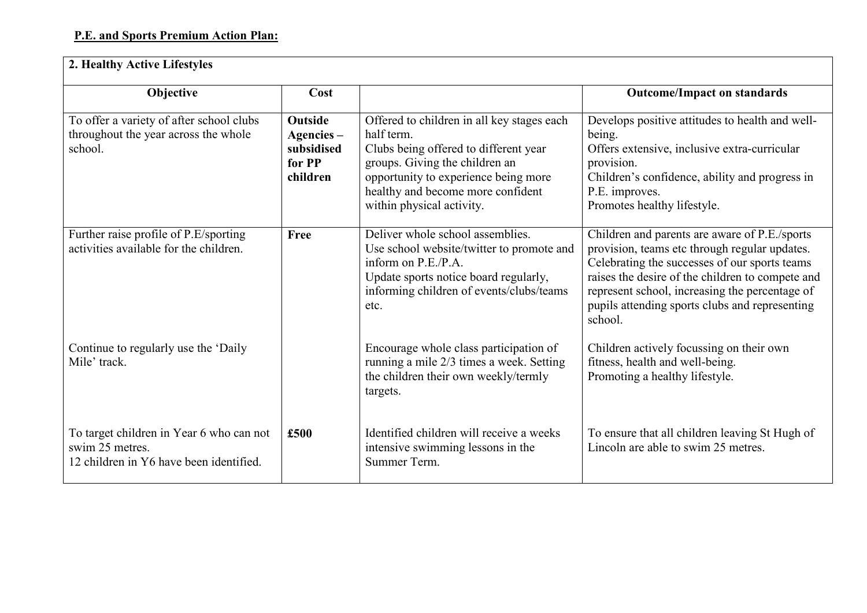| 2. Healthy Active Lifestyles                                                                           |                                                                  |                                                                                                                                                                                                                                               |                                                                                                                                                                                                                                                                                                                    |  |  |  |
|--------------------------------------------------------------------------------------------------------|------------------------------------------------------------------|-----------------------------------------------------------------------------------------------------------------------------------------------------------------------------------------------------------------------------------------------|--------------------------------------------------------------------------------------------------------------------------------------------------------------------------------------------------------------------------------------------------------------------------------------------------------------------|--|--|--|
| Objective                                                                                              | Cost                                                             |                                                                                                                                                                                                                                               | <b>Outcome/Impact on standards</b>                                                                                                                                                                                                                                                                                 |  |  |  |
| To offer a variety of after school clubs<br>throughout the year across the whole<br>school.            | <b>Outside</b><br>Agencies -<br>subsidised<br>for PP<br>children | Offered to children in all key stages each<br>half term.<br>Clubs being offered to different year<br>groups. Giving the children an<br>opportunity to experience being more<br>healthy and become more confident<br>within physical activity. | Develops positive attitudes to health and well-<br>being.<br>Offers extensive, inclusive extra-curricular<br>provision.<br>Children's confidence, ability and progress in<br>P.E. improves.<br>Promotes healthy lifestyle.                                                                                         |  |  |  |
| Further raise profile of P.E/sporting<br>activities available for the children.                        | Free                                                             | Deliver whole school assemblies.<br>Use school website/twitter to promote and<br>inform on $P.E.P.A.$<br>Update sports notice board regularly,<br>informing children of events/clubs/teams<br>etc.                                            | Children and parents are aware of P.E./sports<br>provision, teams etc through regular updates.<br>Celebrating the successes of our sports teams<br>raises the desire of the children to compete and<br>represent school, increasing the percentage of<br>pupils attending sports clubs and representing<br>school. |  |  |  |
| Continue to regularly use the 'Daily<br>Mile' track.                                                   |                                                                  | Encourage whole class participation of<br>running a mile 2/3 times a week. Setting<br>the children their own weekly/termly<br>targets.                                                                                                        | Children actively focussing on their own<br>fitness, health and well-being.<br>Promoting a healthy lifestyle.                                                                                                                                                                                                      |  |  |  |
| To target children in Year 6 who can not<br>swim 25 metres.<br>12 children in Y6 have been identified. | £500                                                             | Identified children will receive a weeks<br>intensive swimming lessons in the<br>Summer Term.                                                                                                                                                 | To ensure that all children leaving St Hugh of<br>Lincoln are able to swim 25 metres.                                                                                                                                                                                                                              |  |  |  |